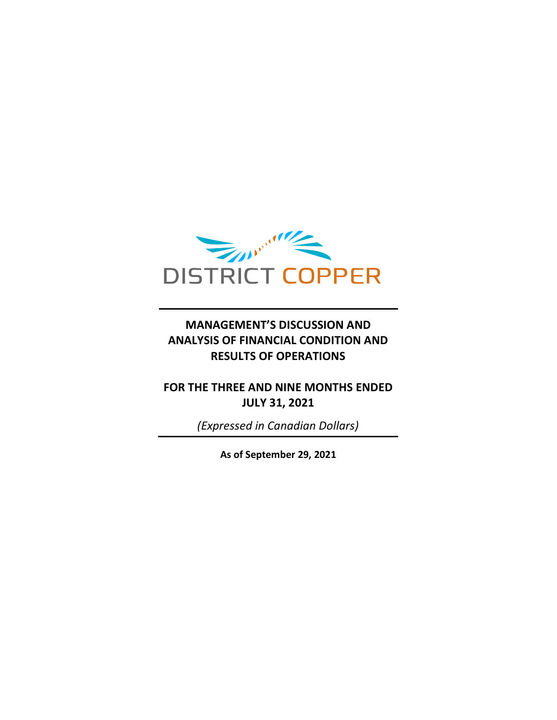

### **MANAGEMENT'S DISCUSSION AND ANALYSIS OF FINANCIAL CONDITION AND RESULTS OF OPERATIONS**

## **FOR THE THREE AND NINE MONTHS ENDED JULY 31, 2021**

*(Expressed in Canadian Dollars)*

**As of September 29, 2021**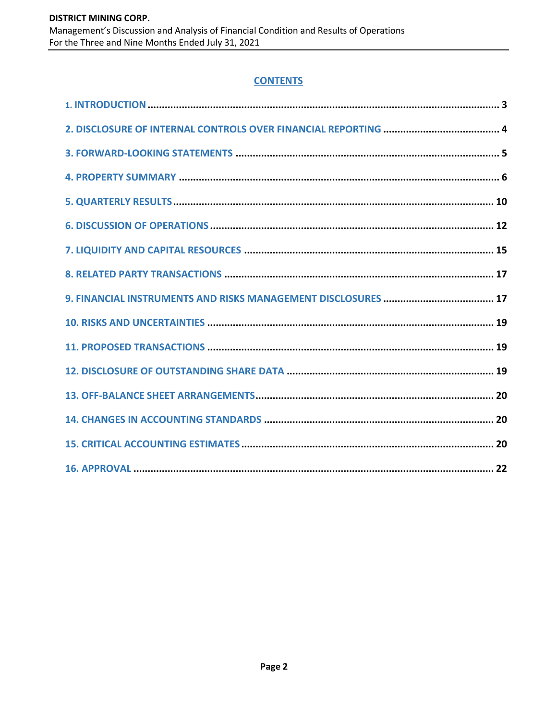#### **CONTENTS**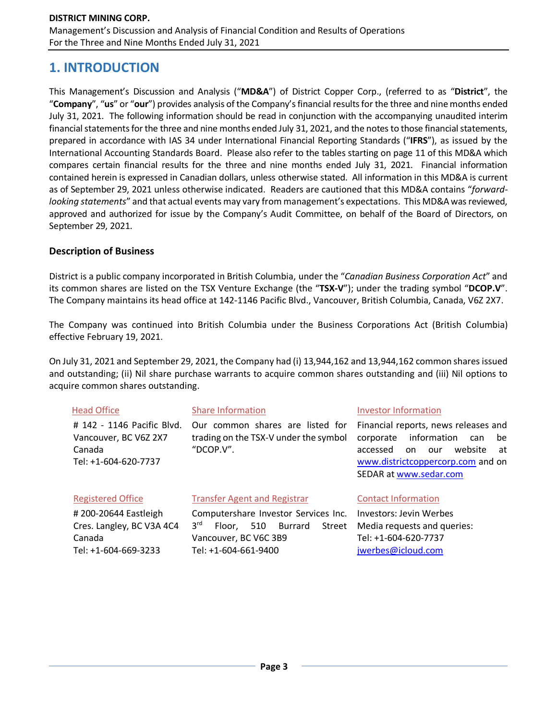# **1. INTRODUCTION**

This Management's Discussion and Analysis ("**MD&A**") of District Copper Corp., (referred to as "**District**", the "**Company**", "**us**" or "**our**") provides analysis of the Company's financial results for the three and ninemonths ended July 31, 2021. The following information should be read in conjunction with the accompanying unaudited interim financial statements for the three and nine months ended July 31, 2021, and the notes to those financial statements, prepared in accordance with IAS 34 under International Financial Reporting Standards ("**IFRS**"), as issued by the International Accounting Standards Board. Please also refer to the tables starting on page 11 of this MD&A which compares certain financial results for the three and nine months ended July 31, 2021. Financial information contained herein is expressed in Canadian dollars, unless otherwise stated. All information in this MD&A is current as of September 29, 2021 unless otherwise indicated. Readers are cautioned that this MD&A contains "*forwardlooking statements*" and that actual events may vary from management's expectations. This MD&A was reviewed, approved and authorized for issue by the Company's Audit Committee, on behalf of the Board of Directors, on September 29, 2021.

#### **Description of Business**

District is a public company incorporated in British Columbia, under the "*Canadian Business Corporation Act*" and its common shares are listed on the TSX Venture Exchange (the "**TSX-V**"); under the trading symbol "**DCOP.V**". The Company maintains its head office at 142-1146 Pacific Blvd., Vancouver, British Columbia, Canada, V6Z 2X7.

The Company was continued into British Columbia under the Business Corporations Act (British Columbia) effective February 19, 2021.

On July 31, 2021 and September 29, 2021, the Company had (i) 13,944,162 and 13,944,162 common shares issued and outstanding; (ii) Nil share purchase warrants to acquire common shares outstanding and (iii) Nil options to acquire common shares outstanding.

#### Head Office

# 142 - 1146 Pacific Blvd. Vancouver, BC V6Z 2X7 Canada Tel: +1-604-620-7737

#### Share Information

Our common shares are listed for trading on the TSX-V under the symbol "DCOP.V".

#### Investor Information

Financial reports, news releases and corporate information can be accessed on our website at [www.districtcoppercorp.com](http://www.districtcoppercorp.com/) and on SEDAR at [www.sedar.com](http://www.sedar.com/)

#### Registered Office

# 200-20644 Eastleigh Cres. Langley, BC V3A 4C4 Canada Tel: +1-604-669-3233

#### Transfer Agent and Registrar

Computershare Investor Services Inc.  $3<sup>rd</sup>$ Floor, 510 Burrard Street Vancouver, BC V6C 3B9 Tel: +1-604-661-9400

#### Contact Information

Investors: Jevin Werbes Media requests and queries: Tel: +1-604-620-773[7](mailto:jwerbes@icloud.com) [jwerbes@icloud.com](mailto:jwerbes@icloud.com)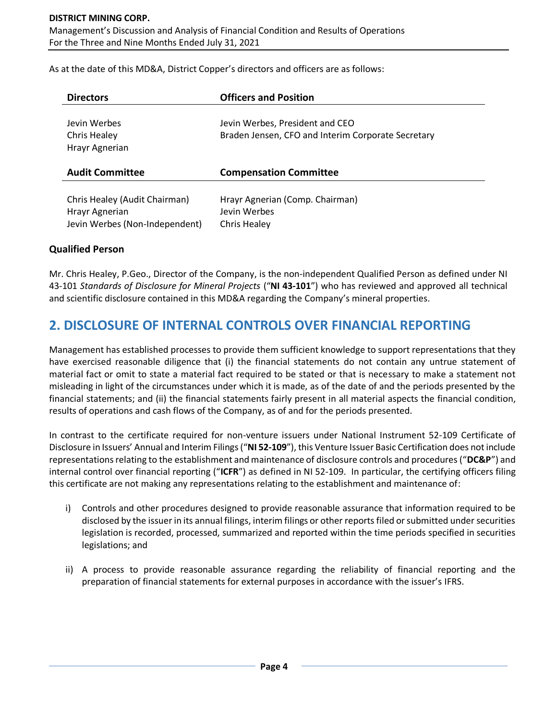As at the date of this MD&A, District Copper's directors and officers are as follows:

| <b>Directors</b>                               | <b>Officers and Position</b>                                                          |
|------------------------------------------------|---------------------------------------------------------------------------------------|
| Jevin Werbes<br>Chris Healey<br>Hrayr Agnerian | Jevin Werbes, President and CEO<br>Braden Jensen, CFO and Interim Corporate Secretary |
| <b>Audit Committee</b>                         | <b>Compensation Committee</b>                                                         |
| Chris Healey (Audit Chairman)                  | Hrayr Agnerian (Comp. Chairman)                                                       |

#### **Qualified Person**

Mr. Chris Healey, P.Geo., Director of the Company, is the non-independent Qualified Person as defined under NI 43-101 *Standards of Disclosure for Mineral Projects* ("**NI 43-101**") who has reviewed and approved all technical and scientific disclosure contained in this MD&A regarding the Company's mineral properties.

## **2. DISCLOSURE OF INTERNAL CONTROLS OVER FINANCIAL REPORTING**

Management has established processes to provide them sufficient knowledge to support representations that they have exercised reasonable diligence that (i) the financial statements do not contain any untrue statement of material fact or omit to state a material fact required to be stated or that is necessary to make a statement not misleading in light of the circumstances under which it is made, as of the date of and the periods presented by the financial statements; and (ii) the financial statements fairly present in all material aspects the financial condition, results of operations and cash flows of the Company, as of and for the periods presented.

In contrast to the certificate required for non-venture issuers under National Instrument 52-109 Certificate of Disclosure in Issuers' Annual and Interim Filings ("**NI 52-109**"), this Venture Issuer Basic Certification does not include representations relating to the establishment and maintenance of disclosure controls and procedures ("**DC&P**") and internal control over financial reporting ("**ICFR**") as defined in NI 52-109. In particular, the certifying officers filing this certificate are not making any representations relating to the establishment and maintenance of:

- i) Controls and other procedures designed to provide reasonable assurance that information required to be disclosed by the issuer in its annual filings, interim filings or other reports filed or submitted under securities legislation is recorded, processed, summarized and reported within the time periods specified in securities legislations; and
- ii) A process to provide reasonable assurance regarding the reliability of financial reporting and the preparation of financial statements for external purposes in accordance with the issuer's IFRS.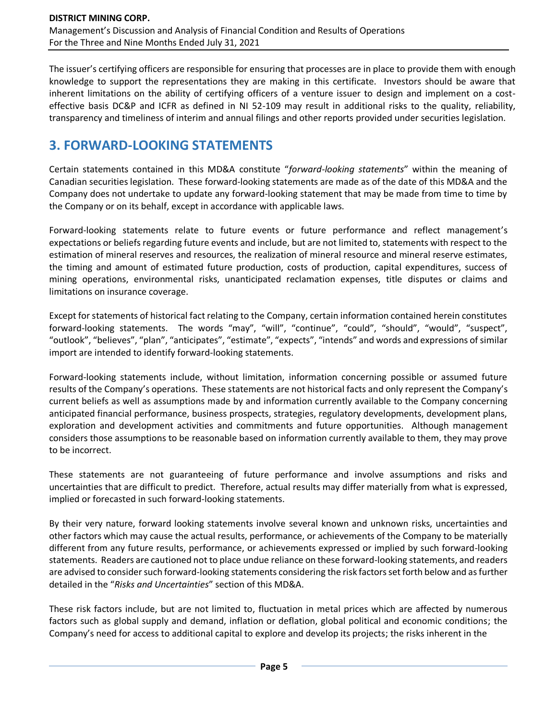The issuer's certifying officers are responsible for ensuring that processes are in place to provide them with enough knowledge to support the representations they are making in this certificate. Investors should be aware that inherent limitations on the ability of certifying officers of a venture issuer to design and implement on a costeffective basis DC&P and ICFR as defined in NI 52-109 may result in additional risks to the quality, reliability, transparency and timeliness of interim and annual filings and other reports provided under securities legislation.

# **3. FORWARD-LOOKING STATEMENTS**

Certain statements contained in this MD&A constitute "*forward-looking statements*" within the meaning of Canadian securities legislation. These forward-looking statements are made as of the date of this MD&A and the Company does not undertake to update any forward-looking statement that may be made from time to time by the Company or on its behalf, except in accordance with applicable laws.

Forward-looking statements relate to future events or future performance and reflect management's expectations or beliefs regarding future events and include, but are not limited to, statements with respect to the estimation of mineral reserves and resources, the realization of mineral resource and mineral reserve estimates, the timing and amount of estimated future production, costs of production, capital expenditures, success of mining operations, environmental risks, unanticipated reclamation expenses, title disputes or claims and limitations on insurance coverage.

Except for statements of historical fact relating to the Company, certain information contained herein constitutes forward-looking statements. The words "may", "will", "continue", "could", "should", "would", "suspect", "outlook", "believes", "plan", "anticipates", "estimate", "expects", "intends" and words and expressions of similar import are intended to identify forward-looking statements.

Forward-looking statements include, without limitation, information concerning possible or assumed future results of the Company's operations. These statements are not historical facts and only represent the Company's current beliefs as well as assumptions made by and information currently available to the Company concerning anticipated financial performance, business prospects, strategies, regulatory developments, development plans, exploration and development activities and commitments and future opportunities. Although management considers those assumptions to be reasonable based on information currently available to them, they may prove to be incorrect.

These statements are not guaranteeing of future performance and involve assumptions and risks and uncertainties that are difficult to predict. Therefore, actual results may differ materially from what is expressed, implied or forecasted in such forward-looking statements.

By their very nature, forward looking statements involve several known and unknown risks, uncertainties and other factors which may cause the actual results, performance, or achievements of the Company to be materially different from any future results, performance, or achievements expressed or implied by such forward-looking statements. Readers are cautioned not to place undue reliance on these forward-looking statements, and readers are advised to consider such forward-looking statements considering the risk factors set forth below and as further detailed in the "*Risks and Uncertainties*" section of this MD&A.

These risk factors include, but are not limited to, fluctuation in metal prices which are affected by numerous factors such as global supply and demand, inflation or deflation, global political and economic conditions; the Company's need for access to additional capital to explore and develop its projects; the risks inherent in the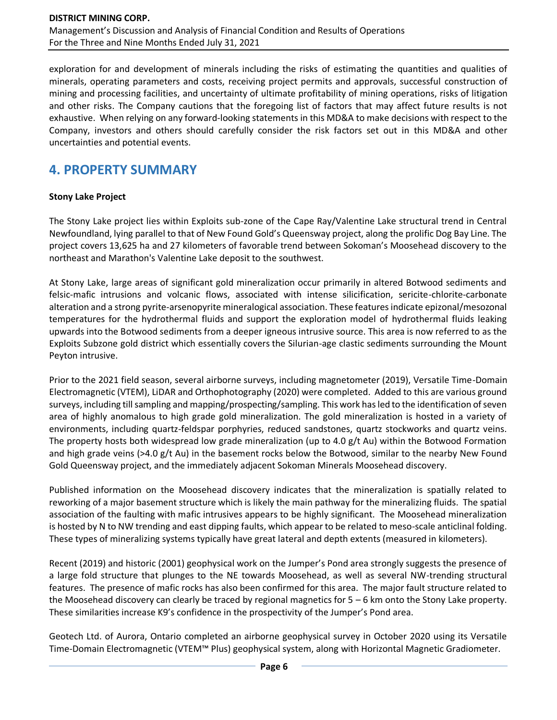exploration for and development of minerals including the risks of estimating the quantities and qualities of minerals, operating parameters and costs, receiving project permits and approvals, successful construction of mining and processing facilities, and uncertainty of ultimate profitability of mining operations, risks of litigation and other risks. The Company cautions that the foregoing list of factors that may affect future results is not exhaustive. When relying on any forward-looking statements in this MD&A to make decisions with respect to the Company, investors and others should carefully consider the risk factors set out in this MD&A and other uncertainties and potential events.

# **4. PROPERTY SUMMARY**

#### **Stony Lake Project**

The Stony Lake project lies within Exploits sub-zone of the Cape Ray/Valentine Lake structural trend in Central Newfoundland, lying parallel to that of New Found Gold's Queensway project, along the prolific Dog Bay Line. The project covers 13,625 ha and 27 kilometers of favorable trend between Sokoman's Moosehead discovery to the northeast and Marathon's Valentine Lake deposit to the southwest.

At Stony Lake, large areas of significant gold mineralization occur primarily in altered Botwood sediments and felsic-mafic intrusions and volcanic flows, associated with intense silicification, sericite-chlorite-carbonate alteration and a strong pyrite-arsenopyrite mineralogical association. These features indicate epizonal/mesozonal temperatures for the hydrothermal fluids and support the exploration model of hydrothermal fluids leaking upwards into the Botwood sediments from a deeper igneous intrusive source. This area is now referred to as the Exploits Subzone gold district which essentially covers the Silurian-age clastic sediments surrounding the Mount Peyton intrusive.

Prior to the 2021 field season, several airborne surveys, including magnetometer (2019), Versatile Time-Domain Electromagnetic (VTEM), LiDAR and Orthophotography (2020) were completed. Added to this are various ground surveys, including till sampling and mapping/prospecting/sampling. This work has led to the identification of seven area of highly anomalous to high grade gold mineralization. The gold mineralization is hosted in a variety of environments, including quartz-feldspar porphyries, reduced sandstones, quartz stockworks and quartz veins. The property hosts both widespread low grade mineralization (up to 4.0 g/t Au) within the Botwood Formation and high grade veins (>4.0 g/t Au) in the basement rocks below the Botwood, similar to the nearby New Found Gold Queensway project, and the immediately adjacent Sokoman Minerals Moosehead discovery.

Published information on the Moosehead discovery indicates that the mineralization is spatially related to reworking of a major basement structure which is likely the main pathway for the mineralizing fluids. The spatial association of the faulting with mafic intrusives appears to be highly significant. The Moosehead mineralization is hosted by N to NW trending and east dipping faults, which appear to be related to meso-scale anticlinal folding. These types of mineralizing systems typically have great lateral and depth extents (measured in kilometers).

Recent (2019) and historic (2001) geophysical work on the Jumper's Pond area strongly suggests the presence of a large fold structure that plunges to the NE towards Moosehead, as well as several NW-trending structural features. The presence of mafic rocks has also been confirmed for this area. The major fault structure related to the Moosehead discovery can clearly be traced by regional magnetics for 5 – 6 km onto the Stony Lake property. These similarities increase K9's confidence in the prospectivity of the Jumper's Pond area.

Geotech Ltd. of Aurora, Ontario completed an airborne geophysical survey in October 2020 using its Versatile Time-Domain Electromagnetic (VTEM™ Plus) geophysical system, along with Horizontal Magnetic Gradiometer.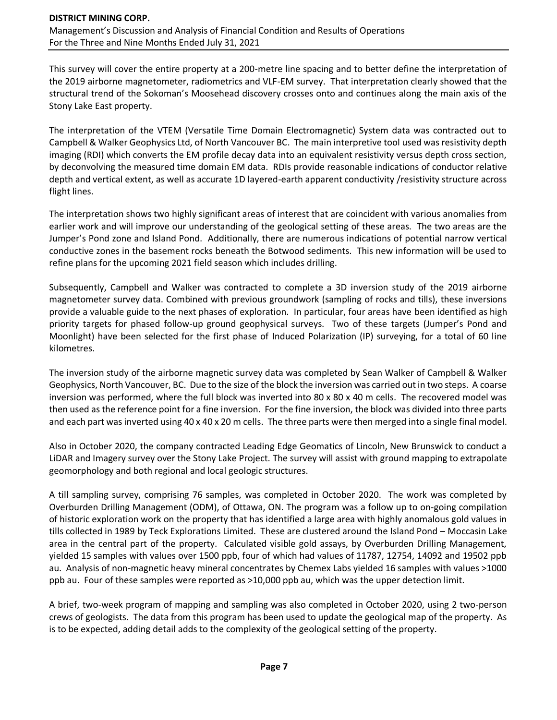This survey will cover the entire property at a 200-metre line spacing and to better define the interpretation of the 2019 airborne magnetometer, radiometrics and VLF-EM survey. That interpretation clearly showed that the structural trend of the Sokoman's Moosehead discovery crosses onto and continues along the main axis of the Stony Lake East property.

The interpretation of the VTEM (Versatile Time Domain Electromagnetic) System data was contracted out to Campbell & Walker Geophysics Ltd, of North Vancouver BC. The main interpretive tool used was resistivity depth imaging (RDI) which converts the EM profile decay data into an equivalent resistivity versus depth cross section, by deconvolving the measured time domain EM data. RDIs provide reasonable indications of conductor relative depth and vertical extent, as well as accurate 1D layered-earth apparent conductivity /resistivity structure across flight lines.

The interpretation shows two highly significant areas of interest that are coincident with various anomalies from earlier work and will improve our understanding of the geological setting of these areas. The two areas are the Jumper's Pond zone and Island Pond. Additionally, there are numerous indications of potential narrow vertical conductive zones in the basement rocks beneath the Botwood sediments. This new information will be used to refine plans for the upcoming 2021 field season which includes drilling.

Subsequently, Campbell and Walker was contracted to complete a 3D inversion study of the 2019 airborne magnetometer survey data. Combined with previous groundwork (sampling of rocks and tills), these inversions provide a valuable guide to the next phases of exploration. In particular, four areas have been identified as high priority targets for phased follow-up ground geophysical surveys. Two of these targets (Jumper's Pond and Moonlight) have been selected for the first phase of Induced Polarization (IP) surveying, for a total of 60 line kilometres.

The inversion study of the airborne magnetic survey data was completed by Sean Walker of Campbell & Walker Geophysics, North Vancouver, BC. Due to the size of the block the inversion was carried out in two steps. A coarse inversion was performed, where the full block was inverted into 80 x 80 x 40 m cells. The recovered model was then used as the reference point for a fine inversion. For the fine inversion, the block was divided into three parts and each part was inverted using 40 x 40 x 20 m cells. The three parts were then merged into a single final model.

Also in October 2020, the company contracted Leading Edge Geomatics of Lincoln, New Brunswick to conduct a LiDAR and Imagery survey over the Stony Lake Project. The survey will assist with ground mapping to extrapolate geomorphology and both regional and local geologic structures.

A till sampling survey, comprising 76 samples, was completed in October 2020. The work was completed by Overburden Drilling Management (ODM), of Ottawa, ON. The program was a follow up to on-going compilation of historic exploration work on the property that has identified a large area with highly anomalous gold values in tills collected in 1989 by Teck Explorations Limited. These are clustered around the Island Pond – Moccasin Lake area in the central part of the property. Calculated visible gold assays, by Overburden Drilling Management, yielded 15 samples with values over 1500 ppb, four of which had values of 11787, 12754, 14092 and 19502 ppb au. Analysis of non-magnetic heavy mineral concentrates by Chemex Labs yielded 16 samples with values >1000 ppb au. Four of these samples were reported as >10,000 ppb au, which was the upper detection limit.

A brief, two-week program of mapping and sampling was also completed in October 2020, using 2 two-person crews of geologists. The data from this program has been used to update the geological map of the property. As is to be expected, adding detail adds to the complexity of the geological setting of the property.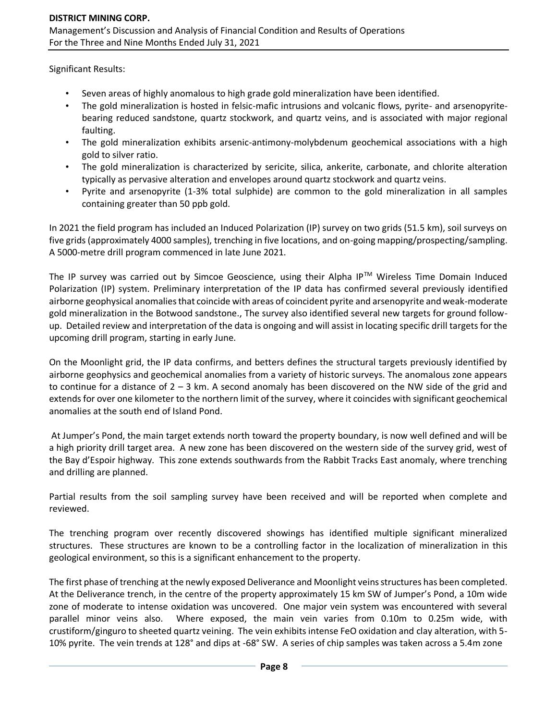Significant Results:

- Seven areas of highly anomalous to high grade gold mineralization have been identified.
- The gold mineralization is hosted in felsic-mafic intrusions and volcanic flows, pyrite- and arsenopyritebearing reduced sandstone, quartz stockwork, and quartz veins, and is associated with major regional faulting.
- The gold mineralization exhibits arsenic-antimony-molybdenum geochemical associations with a high gold to silver ratio.
- The gold mineralization is characterized by sericite, silica, ankerite, carbonate, and chlorite alteration typically as pervasive alteration and envelopes around quartz stockwork and quartz veins.
- Pyrite and arsenopyrite (1-3% total sulphide) are common to the gold mineralization in all samples containing greater than 50 ppb gold.

In 2021 the field program has included an Induced Polarization (IP) survey on two grids (51.5 km), soil surveys on five grids (approximately 4000 samples), trenching in five locations, and on-going mapping/prospecting/sampling. A 5000-metre drill program commenced in late June 2021.

The IP survey was carried out by Simcoe Geoscience, using their Alpha IP™ Wireless Time Domain Induced Polarization (IP) system. Preliminary interpretation of the IP data has confirmed several previously identified airborne geophysical anomalies that coincide with areas of coincident pyrite and arsenopyrite and weak-moderate gold mineralization in the Botwood sandstone., The survey also identified several new targets for ground followup. Detailed review and interpretation of the data is ongoing and will assist in locating specific drill targets for the upcoming drill program, starting in early June.

On the Moonlight grid, the IP data confirms, and betters defines the structural targets previously identified by airborne geophysics and geochemical anomalies from a variety of historic surveys. The anomalous zone appears to continue for a distance of 2 – 3 km. A second anomaly has been discovered on the NW side of the grid and extends for over one kilometer to the northern limit of the survey, where it coincides with significant geochemical anomalies at the south end of Island Pond.

At Jumper's Pond, the main target extends north toward the property boundary, is now well defined and will be a high priority drill target area. A new zone has been discovered on the western side of the survey grid, west of the Bay d'Espoir highway. This zone extends southwards from the Rabbit Tracks East anomaly, where trenching and drilling are planned.

Partial results from the soil sampling survey have been received and will be reported when complete and reviewed.

The trenching program over recently discovered showings has identified multiple significant mineralized structures. These structures are known to be a controlling factor in the localization of mineralization in this geological environment, so this is a significant enhancement to the property.

The first phase of trenching at the newly exposed Deliverance and Moonlight veins structures has been completed. At the Deliverance trench, in the centre of the property approximately 15 km SW of Jumper's Pond, a 10m wide zone of moderate to intense oxidation was uncovered. One major vein system was encountered with several parallel minor veins also. Where exposed, the main vein varies from 0.10m to 0.25m wide, with crustiform/ginguro to sheeted quartz veining. The vein exhibits intense FeO oxidation and clay alteration, with 5- 10% pyrite. The vein trends at 128° and dips at -68° SW. A series of chip samples was taken across a 5.4m zone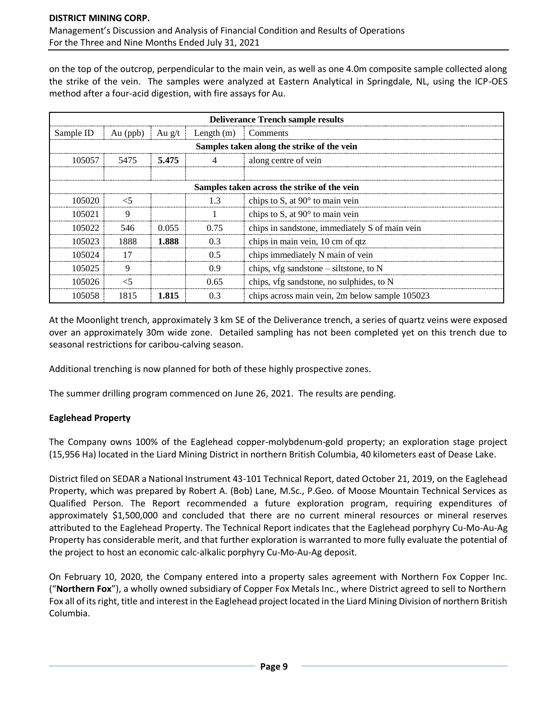on the top of the outcrop, perpendicular to the main vein, as well as one 4.0m composite sample collected along the strike of the vein. The samples were analyzed at Eastern Analytical in Springdale, NL, using the ICP-OES method after a four-acid digestion, with fire assays for Au.

|                                                 | <b>Deliverance Trench sample results</b>    |        |                  |                                                |  |  |  |  |
|-------------------------------------------------|---------------------------------------------|--------|------------------|------------------------------------------------|--|--|--|--|
| Sample ID                                       | Au $(ppb)$                                  | Au g/t | Length $(m)$     | Comments                                       |  |  |  |  |
|                                                 | Samples taken along the strike of the vein  |        |                  |                                                |  |  |  |  |
| 5.475<br>105057<br>5475<br>along centre of vein |                                             |        |                  |                                                |  |  |  |  |
|                                                 |                                             |        |                  |                                                |  |  |  |  |
|                                                 | Samples taken across the strike of the vein |        |                  |                                                |  |  |  |  |
| 105020                                          | <5                                          |        | 1.3              | chips to S, at $90^\circ$ to main vein         |  |  |  |  |
| 105021                                          | 9                                           |        |                  | chips to S, at $90^\circ$ to main vein         |  |  |  |  |
| 105022                                          | 546                                         | 0.055  | 0.75             | chips in sandstone, immediately S of main vein |  |  |  |  |
| 105023                                          | 1888                                        | 1.888  | 0.3              | chips in main vein, 10 cm of qtz               |  |  |  |  |
| 105024                                          | 17                                          |        | 0.5              | chips immediately N main of vein               |  |  |  |  |
| 105025                                          | 9                                           |        | 0.9 <sup>°</sup> | chips, vfg sandstone – siltstone, to N         |  |  |  |  |
| 105026                                          | $<$ 5                                       |        | 0.65             | chips, vfg sandstone, no sulphides, to N       |  |  |  |  |
| 105058                                          | 1815                                        | 1.815  | 0.3              | chips across main vein, 2m below sample 105023 |  |  |  |  |

At the Moonlight trench, approximately 3 km SE of the Deliverance trench, a series of quartz veins were exposed over an approximately 30m wide zone. Detailed sampling has not been completed yet on this trench due to seasonal restrictions for caribou-calving season.

Additional trenching is now planned for both of these highly prospective zones.

The summer drilling program commenced on June 26, 2021. The results are pending.

#### **Eaglehead Property**

The Company owns 100% of the Eaglehead copper-molybdenum-gold property; an exploration stage project (15,956 Ha) located in the Liard Mining District in northern British Columbia, 40 kilometers east of Dease Lake.

District filed on SEDAR a National Instrument 43-101 Technical Report, dated October 21, 2019, on the Eaglehead Property, which was prepared by Robert A. (Bob) Lane, M.Sc., P.Geo. of Moose Mountain Technical Services as Qualified Person. The Report recommended a future exploration program, requiring expenditures of approximately \$1,500,000 and concluded that there are no current mineral resources or mineral reserves attributed to the Eaglehead Property. The Technical Report indicates that the Eaglehead porphyry Cu-Mo-Au-Ag Property has considerable merit, and that further exploration is warranted to more fully evaluate the potential of the project to host an economic calc-alkalic porphyry Cu-Mo-Au-Ag deposit.

On February 10, 2020, the Company entered into a property sales agreement with Northern Fox Copper Inc. ("**Northern Fox**"), a wholly owned subsidiary of Copper Fox Metals Inc., where District agreed to sell to Northern Fox all of its right, title and interest in the Eaglehead project located in the Liard Mining Division of northern British Columbia.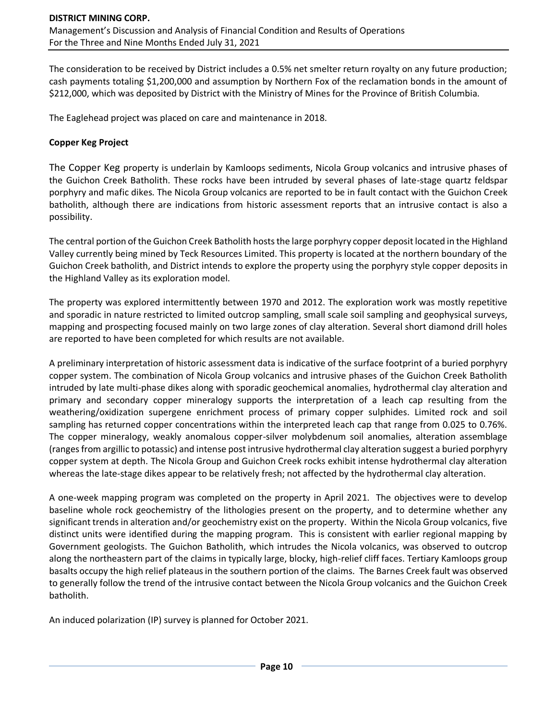The consideration to be received by District includes a 0.5% net smelter return royalty on any future production; cash payments totaling \$1,200,000 and assumption by Northern Fox of the reclamation bonds in the amount of \$212,000, which was deposited by District with the Ministry of Mines for the Province of British Columbia.

The Eaglehead project was placed on care and maintenance in 2018.

#### **Copper Keg Project**

The Copper Keg property is underlain by Kamloops sediments, Nicola Group volcanics and intrusive phases of the Guichon Creek Batholith. These rocks have been intruded by several phases of late-stage quartz feldspar porphyry and mafic dikes. The Nicola Group volcanics are reported to be in fault contact with the Guichon Creek batholith, although there are indications from historic assessment reports that an intrusive contact is also a possibility.

The central portion of the Guichon Creek Batholith hosts the large porphyry copper deposit located in the Highland Valley currently being mined by Teck Resources Limited. This property is located at the northern boundary of the Guichon Creek batholith, and District intends to explore the property using the porphyry style copper deposits in the Highland Valley as its exploration model.

The property was explored intermittently between 1970 and 2012. The exploration work was mostly repetitive and sporadic in nature restricted to limited outcrop sampling, small scale soil sampling and geophysical surveys, mapping and prospecting focused mainly on two large zones of clay alteration. Several short diamond drill holes are reported to have been completed for which results are not available.

A preliminary interpretation of historic assessment data is indicative of the surface footprint of a buried porphyry copper system. The combination of Nicola Group volcanics and intrusive phases of the Guichon Creek Batholith intruded by late multi-phase dikes along with sporadic geochemical anomalies, hydrothermal clay alteration and primary and secondary copper mineralogy supports the interpretation of a leach cap resulting from the weathering/oxidization supergene enrichment process of primary copper sulphides. Limited rock and soil sampling has returned copper concentrations within the interpreted leach cap that range from 0.025 to 0.76%. The copper mineralogy, weakly anomalous copper-silver molybdenum soil anomalies, alteration assemblage (ranges from argillic to potassic) and intense post intrusive hydrothermal clay alteration suggest a buried porphyry copper system at depth. The Nicola Group and Guichon Creek rocks exhibit intense hydrothermal clay alteration whereas the late-stage dikes appear to be relatively fresh; not affected by the hydrothermal clay alteration.

A one-week mapping program was completed on the property in April 2021. The objectives were to develop baseline whole rock geochemistry of the lithologies present on the property, and to determine whether any significant trends in alteration and/or geochemistry exist on the property. Within the Nicola Group volcanics, five distinct units were identified during the mapping program. This is consistent with earlier regional mapping by Government geologists. The Guichon Batholith, which intrudes the Nicola volcanics, was observed to outcrop along the northeastern part of the claims in typically large, blocky, high-relief cliff faces. Tertiary Kamloops group basalts occupy the high relief plateaus in the southern portion of the claims. The Barnes Creek fault was observed to generally follow the trend of the intrusive contact between the Nicola Group volcanics and the Guichon Creek batholith.

An induced polarization (IP) survey is planned for October 2021.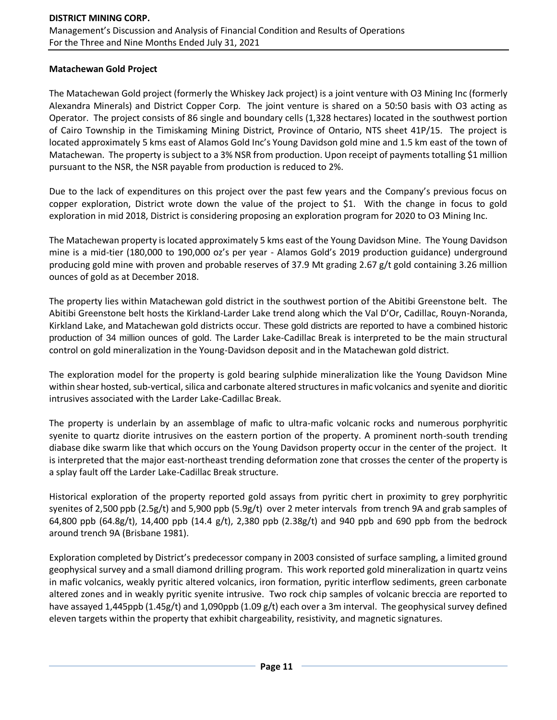#### **Matachewan Gold Project**

The Matachewan Gold project (formerly the Whiskey Jack project) is a joint venture with O3 Mining Inc (formerly Alexandra Minerals) and District Copper Corp. The joint venture is shared on a 50:50 basis with O3 acting as Operator. The project consists of 86 single and boundary cells (1,328 hectares) located in the southwest portion of Cairo Township in the Timiskaming Mining District, Province of Ontario, NTS sheet 41P/15. The project is located approximately 5 kms east of Alamos Gold Inc's Young Davidson gold mine and 1.5 km east of the town of Matachewan. The property is subject to a 3% NSR from production. Upon receipt of payments totalling \$1 million pursuant to the NSR, the NSR payable from production is reduced to 2%.

Due to the lack of expenditures on this project over the past few years and the Company's previous focus on copper exploration, District wrote down the value of the project to \$1. With the change in focus to gold exploration in mid 2018, District is considering proposing an exploration program for 2020 to O3 Mining Inc.

The Matachewan property is located approximately 5 kms east of the Young Davidson Mine. The Young Davidson mine is a mid-tier (180,000 to 190,000 oz's per year - Alamos Gold's 2019 production guidance) underground producing gold mine with proven and probable reserves of 37.9 Mt grading 2.67 g/t gold containing 3.26 million ounces of gold as at December 2018.

The property lies within Matachewan gold district in the southwest portion of the Abitibi Greenstone belt. The Abitibi Greenstone belt hosts the Kirkland-Larder Lake trend along which the Val D'Or, Cadillac, Rouyn-Noranda, Kirkland Lake, and Matachewan gold districts occur. These gold districts are reported to have a combined historic production of 34 million ounces of gold. The Larder Lake-Cadillac Break is interpreted to be the main structural control on gold mineralization in the Young-Davidson deposit and in the Matachewan gold district.

The exploration model for the property is gold bearing sulphide mineralization like the Young Davidson Mine within shear hosted, sub-vertical, silica and carbonate altered structures in mafic volcanics and syenite and dioritic intrusives associated with the Larder Lake-Cadillac Break.

The property is underlain by an assemblage of mafic to ultra-mafic volcanic rocks and numerous porphyritic syenite to quartz diorite intrusives on the eastern portion of the property. A prominent north-south trending diabase dike swarm like that which occurs on the Young Davidson property occur in the center of the project. It is interpreted that the major east-northeast trending deformation zone that crosses the center of the property is a splay fault off the Larder Lake-Cadillac Break structure.

Historical exploration of the property reported gold assays from pyritic chert in proximity to grey porphyritic syenites of 2,500 ppb (2.5g/t) and 5,900 ppb (5.9g/t) over 2 meter intervals from trench 9A and grab samples of 64,800 ppb (64.8g/t), 14,400 ppb (14.4 g/t), 2,380 ppb (2.38g/t) and 940 ppb and 690 ppb from the bedrock around trench 9A (Brisbane 1981).

Exploration completed by District's predecessor company in 2003 consisted of surface sampling, a limited ground geophysical survey and a small diamond drilling program. This work reported gold mineralization in quartz veins in mafic volcanics, weakly pyritic altered volcanics, iron formation, pyritic interflow sediments, green carbonate altered zones and in weakly pyritic syenite intrusive. Two rock chip samples of volcanic breccia are reported to have assayed 1,445ppb (1.45g/t) and 1,090ppb (1.09 g/t) each over a 3m interval. The geophysical survey defined eleven targets within the property that exhibit chargeability, resistivity, and magnetic signatures.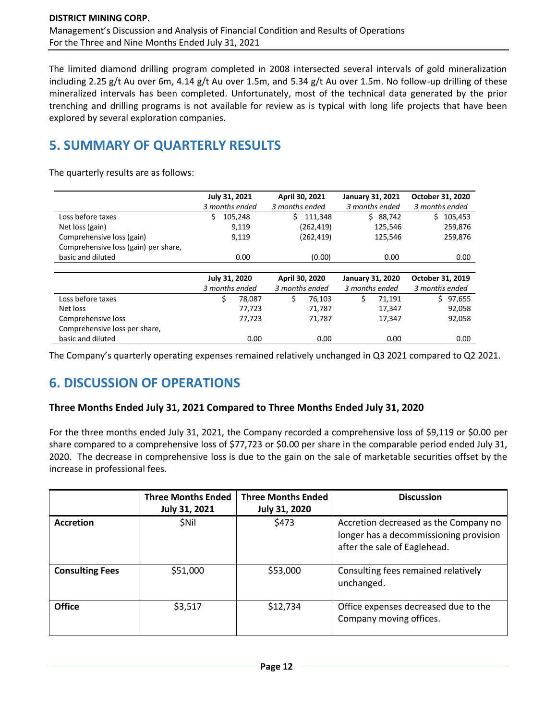The limited diamond drilling program completed in 2008 intersected several intervals of gold mineralization including 2.25 g/t Au over 6m, 4.14 g/t Au over 1.5m, and 5.34 g/t Au over 1.5m. No follow-up drilling of these mineralized intervals has been completed. Unfortunately, most of the technical data generated by the prior trenching and drilling programs is not available for review as is typical with long life projects that have been explored by several exploration companies.

# **5. SUMMARY OF QUARTERLY RESULTS**

The quarterly results are as follows:

|                                      | July 31, 2021<br>3 months ended |         | April 30, 2021<br>3 months ended |            | <b>January 31, 2021</b> | 3 months ended          | October 31, 2020<br>3 months ended |           |
|--------------------------------------|---------------------------------|---------|----------------------------------|------------|-------------------------|-------------------------|------------------------------------|-----------|
| Loss before taxes                    | \$                              | 105,248 | Ś.                               | 111,348    |                         | \$88,742                |                                    | \$105,453 |
| Net loss (gain)                      |                                 | 9,119   |                                  | (262, 419) |                         | 125,546                 |                                    | 259,876   |
| Comprehensive loss (gain)            |                                 | 9,119   |                                  | (262, 419) |                         | 125,546                 |                                    | 259,876   |
| Comprehensive loss (gain) per share, |                                 |         |                                  |            |                         |                         |                                    |           |
| basic and diluted                    |                                 | 0.00    |                                  | (0.00)     |                         | 0.00                    |                                    | 0.00      |
|                                      |                                 |         |                                  |            |                         |                         |                                    |           |
|                                      |                                 |         |                                  |            |                         |                         |                                    |           |
|                                      | July 31, 2020                   |         | April 30, 2020                   |            |                         | <b>January 31, 2020</b> | October 31, 2019                   |           |
|                                      | 3 months ended                  |         | 3 months ended                   |            |                         | 3 months ended          | 3 months ended                     |           |
| Loss before taxes                    | \$                              | 78,087  | \$                               | 76,103     | Ś.                      | 71,191                  |                                    | \$97,655  |
| Net loss                             |                                 | 77,723  |                                  | 71,787     |                         | 17,347                  |                                    | 92,058    |
| Comprehensive loss                   |                                 | 77,723  |                                  | 71,787     |                         | 17,347                  |                                    | 92,058    |
| Comprehensive loss per share,        |                                 |         |                                  |            |                         |                         |                                    |           |

The Company's quarterly operating expenses remained relatively unchanged in Q3 2021 compared to Q2 2021.

# **6. DISCUSSION OF OPERATIONS**

#### **Three Months Ended July 31, 2021 Compared to Three Months Ended July 31, 2020**

For the three months ended July 31, 2021, the Company recorded a comprehensive loss of \$9,119 or \$0.00 per share compared to a comprehensive loss of \$77,723 or \$0.00 per share in the comparable period ended July 31, 2020. The decrease in comprehensive loss is due to the gain on the sale of marketable securities offset by the increase in professional fees.

|                        | <b>Three Months Ended</b><br>July 31, 2021 | <b>Three Months Ended</b><br><b>July 31, 2020</b> | <b>Discussion</b>                                                                                               |
|------------------------|--------------------------------------------|---------------------------------------------------|-----------------------------------------------------------------------------------------------------------------|
| <b>Accretion</b>       | <b>SNil</b>                                | \$473                                             | Accretion decreased as the Company no<br>longer has a decommissioning provision<br>after the sale of Eaglehead. |
| <b>Consulting Fees</b> | \$51,000                                   | \$53,000                                          | Consulting fees remained relatively<br>unchanged.                                                               |
| <b>Office</b>          | \$3,517                                    | \$12,734                                          | Office expenses decreased due to the<br>Company moving offices.                                                 |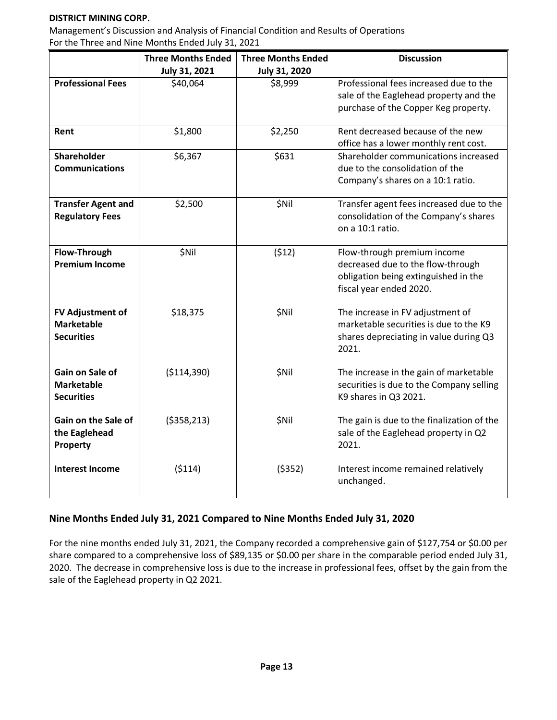#### **DISTRICT MINING CORP.**

Management's Discussion and Analysis of Financial Condition and Results of Operations For the Three and Nine Months Ended July 31, 2021

|                           | <b>Three Months Ended</b> | <b>Three Months Ended</b> | <b>Discussion</b>                          |
|---------------------------|---------------------------|---------------------------|--------------------------------------------|
|                           | July 31, 2021             | July 31, 2020             |                                            |
| <b>Professional Fees</b>  | \$40,064                  | \$8,999                   | Professional fees increased due to the     |
|                           |                           |                           | sale of the Eaglehead property and the     |
|                           |                           |                           | purchase of the Copper Keg property.       |
|                           |                           |                           |                                            |
| Rent                      | \$1,800                   | \$2,250                   | Rent decreased because of the new          |
|                           |                           |                           | office has a lower monthly rent cost.      |
| <b>Shareholder</b>        | \$6,367                   | \$631                     | Shareholder communications increased       |
| <b>Communications</b>     |                           |                           | due to the consolidation of the            |
|                           |                           |                           | Company's shares on a 10:1 ratio.          |
| <b>Transfer Agent and</b> | \$2,500                   | \$Nil                     | Transfer agent fees increased due to the   |
| <b>Regulatory Fees</b>    |                           |                           | consolidation of the Company's shares      |
|                           |                           |                           | on a 10:1 ratio.                           |
|                           |                           |                           |                                            |
| <b>Flow-Through</b>       | <b>\$Nil</b>              | (512)                     | Flow-through premium income                |
| <b>Premium Income</b>     |                           |                           | decreased due to the flow-through          |
|                           |                           |                           | obligation being extinguished in the       |
|                           |                           |                           | fiscal year ended 2020.                    |
|                           |                           |                           |                                            |
| <b>FV Adjustment of</b>   | \$18,375                  | \$Nil                     | The increase in FV adjustment of           |
| <b>Marketable</b>         |                           |                           | marketable securities is due to the K9     |
| <b>Securities</b>         |                           |                           | shares depreciating in value during Q3     |
|                           |                           |                           | 2021.                                      |
| Gain on Sale of           | ( \$114, 390)             | \$Nil                     | The increase in the gain of marketable     |
| <b>Marketable</b>         |                           |                           | securities is due to the Company selling   |
| <b>Securities</b>         |                           |                           | K9 shares in Q3 2021.                      |
|                           |                           |                           |                                            |
| Gain on the Sale of       | ( \$358, 213)             | \$Nil                     | The gain is due to the finalization of the |
| the Eaglehead             |                           |                           | sale of the Eaglehead property in Q2       |
| Property                  |                           |                           | 2021.                                      |
|                           |                           |                           |                                            |
| <b>Interest Income</b>    | (5114)                    | (5352)                    | Interest income remained relatively        |
|                           |                           |                           | unchanged.                                 |
|                           |                           |                           |                                            |

#### **Nine Months Ended July 31, 2021 Compared to Nine Months Ended July 31, 2020**

For the nine months ended July 31, 2021, the Company recorded a comprehensive gain of \$127,754 or \$0.00 per share compared to a comprehensive loss of \$89,135 or \$0.00 per share in the comparable period ended July 31, 2020. The decrease in comprehensive loss is due to the increase in professional fees, offset by the gain from the sale of the Eaglehead property in Q2 2021.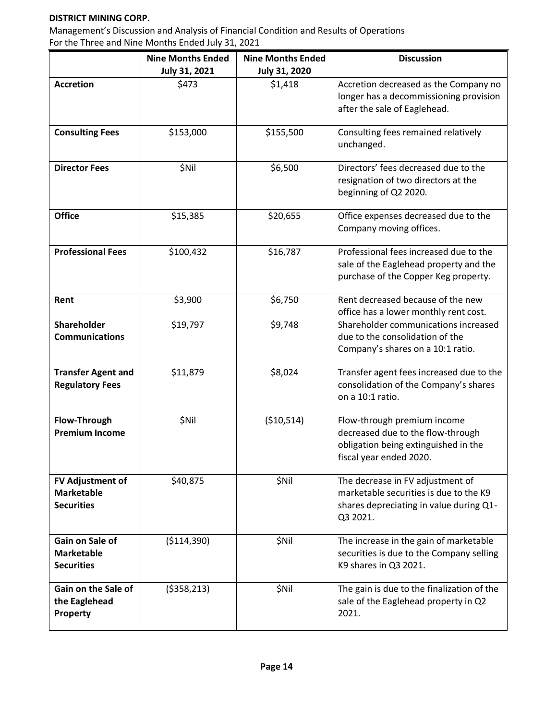#### **DISTRICT MINING CORP.**

Management's Discussion and Analysis of Financial Condition and Results of Operations For the Three and Nine Months Ended July 31, 2021

|                                                            | <b>Nine Months Ended</b> | <b>Nine Months Ended</b> | <b>Discussion</b>                                                                                                                   |
|------------------------------------------------------------|--------------------------|--------------------------|-------------------------------------------------------------------------------------------------------------------------------------|
|                                                            | July 31, 2021            | <b>July 31, 2020</b>     |                                                                                                                                     |
| <b>Accretion</b>                                           | \$473                    | \$1,418                  | Accretion decreased as the Company no<br>longer has a decommissioning provision<br>after the sale of Eaglehead.                     |
| <b>Consulting Fees</b>                                     | \$153,000                | \$155,500                | Consulting fees remained relatively<br>unchanged.                                                                                   |
| <b>Director Fees</b>                                       | \$Nil                    | \$6,500                  | Directors' fees decreased due to the<br>resignation of two directors at the<br>beginning of Q2 2020.                                |
| <b>Office</b>                                              | \$15,385                 | \$20,655                 | Office expenses decreased due to the<br>Company moving offices.                                                                     |
| <b>Professional Fees</b>                                   | \$100,432                | \$16,787                 | Professional fees increased due to the<br>sale of the Eaglehead property and the<br>purchase of the Copper Keg property.            |
| Rent                                                       | \$3,900                  | \$6,750                  | Rent decreased because of the new<br>office has a lower monthly rent cost.                                                          |
| Shareholder<br><b>Communications</b>                       | \$19,797                 | \$9,748                  | Shareholder communications increased<br>due to the consolidation of the<br>Company's shares on a 10:1 ratio.                        |
| <b>Transfer Agent and</b><br><b>Regulatory Fees</b>        | \$11,879                 | \$8,024                  | Transfer agent fees increased due to the<br>consolidation of the Company's shares<br>on a 10:1 ratio.                               |
| Flow-Through<br><b>Premium Income</b>                      | \$Nil                    | ( \$10,514)              | Flow-through premium income<br>decreased due to the flow-through<br>obligation being extinguished in the<br>fiscal year ended 2020. |
| FV Adjustment of<br><b>Marketable</b><br><b>Securities</b> | \$40,875                 | \$Nil                    | The decrease in FV adjustment of<br>marketable securities is due to the K9<br>shares depreciating in value during Q1-<br>Q3 2021.   |
| Gain on Sale of<br><b>Marketable</b><br><b>Securities</b>  | ( \$114, 390)            | \$Nil                    | The increase in the gain of marketable<br>securities is due to the Company selling<br>K9 shares in Q3 2021.                         |
| Gain on the Sale of<br>the Eaglehead<br>Property           | ( \$358, 213)            | \$Nil                    | The gain is due to the finalization of the<br>sale of the Eaglehead property in Q2<br>2021.                                         |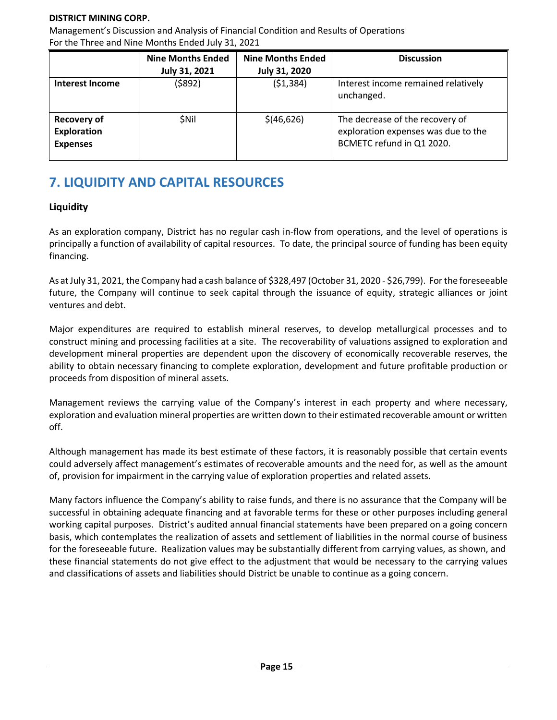#### **DISTRICT MINING CORP.**

Management's Discussion and Analysis of Financial Condition and Results of Operations For the Three and Nine Months Ended July 31, 2021

|                                                             | <b>Nine Months Ended</b> | <b>Nine Months Ended</b> | <b>Discussion</b>                                                                                   |
|-------------------------------------------------------------|--------------------------|--------------------------|-----------------------------------------------------------------------------------------------------|
|                                                             | July 31, 2021            | <b>July 31, 2020</b>     |                                                                                                     |
| <b>Interest Income</b>                                      | (\$892)                  | (51, 384)                | Interest income remained relatively<br>unchanged.                                                   |
| <b>Recovery of</b><br><b>Exploration</b><br><b>Expenses</b> | <b>SNII</b>              | \$(46, 626)              | The decrease of the recovery of<br>exploration expenses was due to the<br>BCMETC refund in Q1 2020. |

# **7. LIQUIDITY AND CAPITAL RESOURCES**

#### **Liquidity**

As an exploration company, District has no regular cash in-flow from operations, and the level of operations is principally a function of availability of capital resources. To date, the principal source of funding has been equity financing.

As at July 31, 2021, the Company had a cash balance of \$328,497 (October 31, 2020 - \$26,799). For the foreseeable future, the Company will continue to seek capital through the issuance of equity, strategic alliances or joint ventures and debt.

Major expenditures are required to establish mineral reserves, to develop metallurgical processes and to construct mining and processing facilities at a site. The recoverability of valuations assigned to exploration and development mineral properties are dependent upon the discovery of economically recoverable reserves, the ability to obtain necessary financing to complete exploration, development and future profitable production or proceeds from disposition of mineral assets.

Management reviews the carrying value of the Company's interest in each property and where necessary, exploration and evaluation mineral properties are written down to their estimated recoverable amount or written off.

Although management has made its best estimate of these factors, it is reasonably possible that certain events could adversely affect management's estimates of recoverable amounts and the need for, as well as the amount of, provision for impairment in the carrying value of exploration properties and related assets.

Many factors influence the Company's ability to raise funds, and there is no assurance that the Company will be successful in obtaining adequate financing and at favorable terms for these or other purposes including general working capital purposes. District's audited annual financial statements have been prepared on a going concern basis, which contemplates the realization of assets and settlement of liabilities in the normal course of business for the foreseeable future. Realization values may be substantially different from carrying values, as shown, and these financial statements do not give effect to the adjustment that would be necessary to the carrying values and classifications of assets and liabilities should District be unable to continue as a going concern.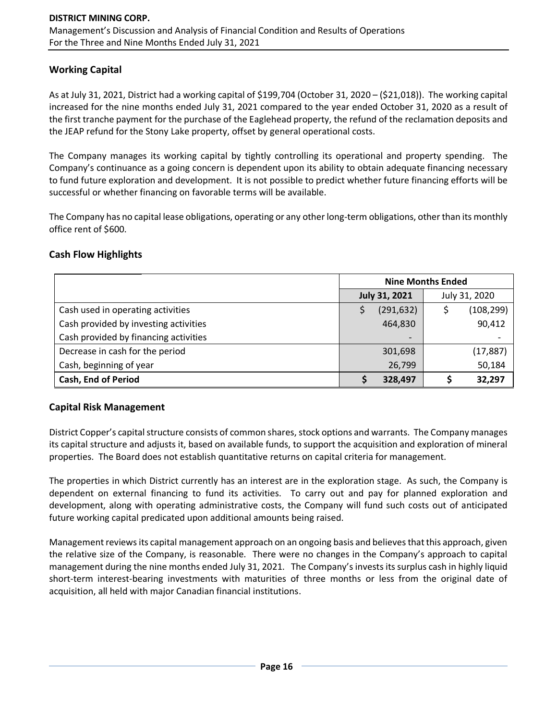#### **Working Capital**

As at July 31, 2021, District had a working capital of \$199,704 (October 31, 2020 – (\$21,018)). The working capital increased for the nine months ended July 31, 2021 compared to the year ended October 31, 2020 as a result of the first tranche payment for the purchase of the Eaglehead property, the refund of the reclamation deposits and the JEAP refund for the Stony Lake property, offset by general operational costs.

The Company manages its working capital by tightly controlling its operational and property spending. The Company's continuance as a going concern is dependent upon its ability to obtain adequate financing necessary to fund future exploration and development. It is not possible to predict whether future financing efforts will be successful or whether financing on favorable terms will be available.

The Company has no capital lease obligations, operating or any other long-term obligations, other than its monthly office rent of \$600.

#### **Cash Flow Highlights**

|                                       | <b>Nine Months Ended</b> |               |  |  |  |
|---------------------------------------|--------------------------|---------------|--|--|--|
|                                       | <b>July 31, 2021</b>     | July 31, 2020 |  |  |  |
| Cash used in operating activities     | (291, 632)               | (108, 299)    |  |  |  |
| Cash provided by investing activities | 464,830                  | 90,412        |  |  |  |
| Cash provided by financing activities |                          |               |  |  |  |
| Decrease in cash for the period       | 301,698                  | (17, 887)     |  |  |  |
| Cash, beginning of year               | 26,799                   | 50,184        |  |  |  |
| <b>Cash, End of Period</b>            | 328,497                  | 32,297        |  |  |  |

#### **Capital Risk Management**

District Copper's capital structure consists of common shares, stock options and warrants. The Company manages its capital structure and adjusts it, based on available funds, to support the acquisition and exploration of mineral properties. The Board does not establish quantitative returns on capital criteria for management.

The properties in which District currently has an interest are in the exploration stage. As such, the Company is dependent on external financing to fund its activities. To carry out and pay for planned exploration and development, along with operating administrative costs, the Company will fund such costs out of anticipated future working capital predicated upon additional amounts being raised.

Management reviews its capital management approach on an ongoing basis and believes that this approach, given the relative size of the Company, is reasonable. There were no changes in the Company's approach to capital management during the nine months ended July 31, 2021. The Company's invests its surplus cash in highly liquid short-term interest-bearing investments with maturities of three months or less from the original date of acquisition, all held with major Canadian financial institutions.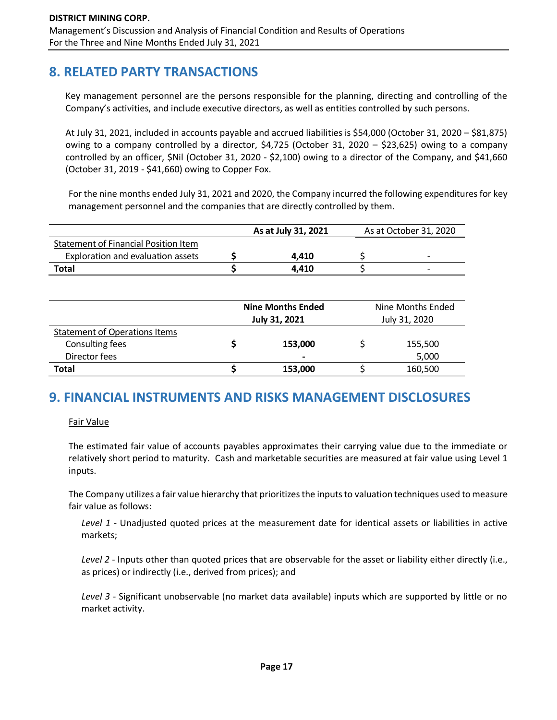# **8. RELATED PARTY TRANSACTIONS**

Key management personnel are the persons responsible for the planning, directing and controlling of the Company's activities, and include executive directors, as well as entities controlled by such persons.

At July 31, 2021, included in accounts payable and accrued liabilities is \$54,000 (October 31, 2020 – \$81,875) owing to a company controlled by a director, \$4,725 (October 31, 2020 – \$23,625) owing to a company controlled by an officer, \$Nil (October 31, 2020 - \$2,100) owing to a director of the Company, and \$41,660 (October 31, 2019 - \$41,660) owing to Copper Fox.

For the nine months ended July 31, 2021 and 2020, the Company incurred the following expenditures for key management personnel and the companies that are directly controlled by them.

|                                      | As at July 31, 2021 | As at October 31, 2020   |
|--------------------------------------|---------------------|--------------------------|
| Statement of Financial Position Item |                     |                          |
| Exploration and evaluation assets    | 4.410               | $\overline{\phantom{0}}$ |
| Total                                | 4.410               | $\overline{\phantom{0}}$ |

|                                      | <b>Nine Months Ended</b><br>July 31, 2021 | Nine Months Ended<br>July 31, 2020 |         |  |  |
|--------------------------------------|-------------------------------------------|------------------------------------|---------|--|--|
| <b>Statement of Operations Items</b> |                                           |                                    |         |  |  |
| Consulting fees                      | 153,000                                   |                                    | 155,500 |  |  |
| Director fees                        | $\qquad \qquad$                           |                                    | 5,000   |  |  |
| Total                                | 153,000                                   |                                    | 160,500 |  |  |

## **9. FINANCIAL INSTRUMENTS AND RISKS MANAGEMENT DISCLOSURES**

Fair Value

The estimated fair value of accounts payables approximates their carrying value due to the immediate or relatively short period to maturity. Cash and marketable securities are measured at fair value using Level 1 inputs.

The Company utilizes a fair value hierarchy that prioritizes the inputs to valuation techniques used to measure fair value as follows:

*Level 1* - Unadjusted quoted prices at the measurement date for identical assets or liabilities in active markets;

*Level 2* - Inputs other than quoted prices that are observable for the asset or liability either directly (i.e., as prices) or indirectly (i.e., derived from prices); and

*Level 3* - Significant unobservable (no market data available) inputs which are supported by little or no market activity.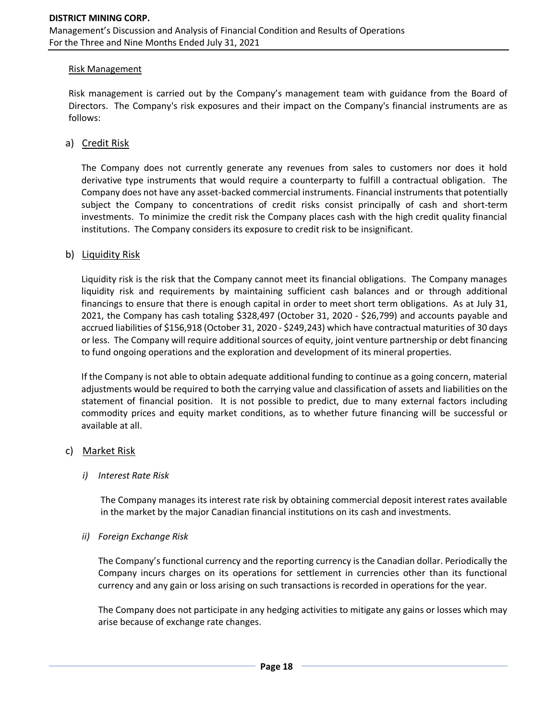#### Risk Management

Risk management is carried out by the Company's management team with guidance from the Board of Directors. The Company's risk exposures and their impact on the Company's financial instruments are as follows:

#### a) Credit Risk

The Company does not currently generate any revenues from sales to customers nor does it hold derivative type instruments that would require a counterparty to fulfill a contractual obligation. The Company does not have any asset-backed commercial instruments. Financial instruments that potentially subject the Company to concentrations of credit risks consist principally of cash and short-term investments. To minimize the credit risk the Company places cash with the high credit quality financial institutions. The Company considers its exposure to credit risk to be insignificant.

#### b) Liquidity Risk

Liquidity risk is the risk that the Company cannot meet its financial obligations. The Company manages liquidity risk and requirements by maintaining sufficient cash balances and or through additional financings to ensure that there is enough capital in order to meet short term obligations. As at July 31, 2021, the Company has cash totaling \$328,497 (October 31, 2020 - \$26,799) and accounts payable and accrued liabilities of \$156,918 (October 31, 2020 - \$249,243) which have contractual maturities of 30 days or less. The Company will require additional sources of equity, joint venture partnership or debt financing to fund ongoing operations and the exploration and development of its mineral properties.

If the Company is not able to obtain adequate additional funding to continue as a going concern, material adjustments would be required to both the carrying value and classification of assets and liabilities on the statement of financial position. It is not possible to predict, due to many external factors including commodity prices and equity market conditions, as to whether future financing will be successful or available at all.

#### c) Market Risk

#### *i) Interest Rate Risk*

The Company manages its interest rate risk by obtaining commercial deposit interest rates available in the market by the major Canadian financial institutions on its cash and investments.

#### *ii) Foreign Exchange Risk*

The Company's functional currency and the reporting currency is the Canadian dollar. Periodically the Company incurs charges on its operations for settlement in currencies other than its functional currency and any gain or loss arising on such transactions is recorded in operations for the year.

The Company does not participate in any hedging activities to mitigate any gains or losses which may arise because of exchange rate changes.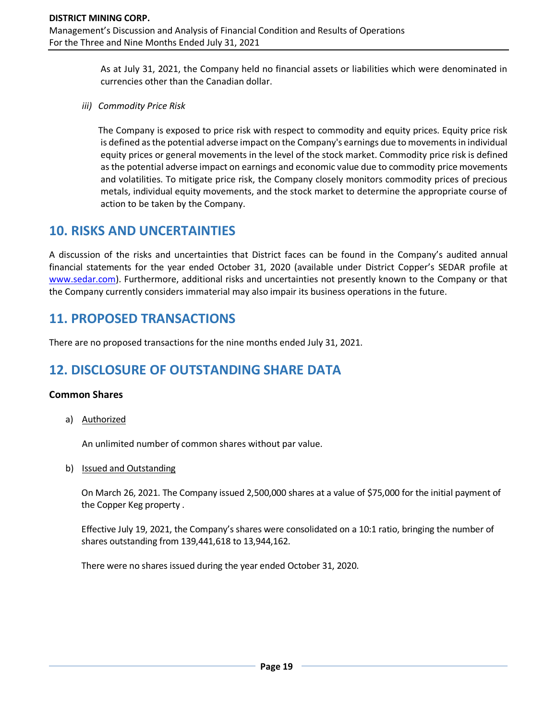As at July 31, 2021, the Company held no financial assets or liabilities which were denominated in currencies other than the Canadian dollar.

*iii) Commodity Price Risk*

The Company is exposed to price risk with respect to commodity and equity prices. Equity price risk is defined as the potential adverse impact on the Company's earnings due to movements in individual equity prices or general movements in the level of the stock market. Commodity price risk is defined as the potential adverse impact on earnings and economic value due to commodity price movements and volatilities. To mitigate price risk, the Company closely monitors commodity prices of precious metals, individual equity movements, and the stock market to determine the appropriate course of action to be taken by the Company.

## **10. RISKS AND UNCERTAINTIES**

A discussion of the risks and uncertainties that District faces can be found in the Company's audited annual financial statements for the year ended October 31, 2020 (available under District Copper's SEDAR profile at [www.sedar.com\)](http://www.sedar.com/). Furthermore, additional risks and uncertainties not presently known to the Company or that the Company currently considers immaterial may also impair its business operations in the future.

# **11. PROPOSED TRANSACTIONS**

There are no proposed transactions for the nine months ended July 31, 2021.

# **12. DISCLOSURE OF OUTSTANDING SHARE DATA**

#### **Common Shares**

a) Authorized

An unlimited number of common shares without par value.

b) Issued and Outstanding

On March 26, 2021. The Company issued 2,500,000 shares at a value of \$75,000 for the initial payment of the Copper Keg property .

Effective July 19, 2021, the Company's shares were consolidated on a 10:1 ratio, bringing the number of shares outstanding from 139,441,618 to 13,944,162.

There were no shares issued during the year ended October 31, 2020.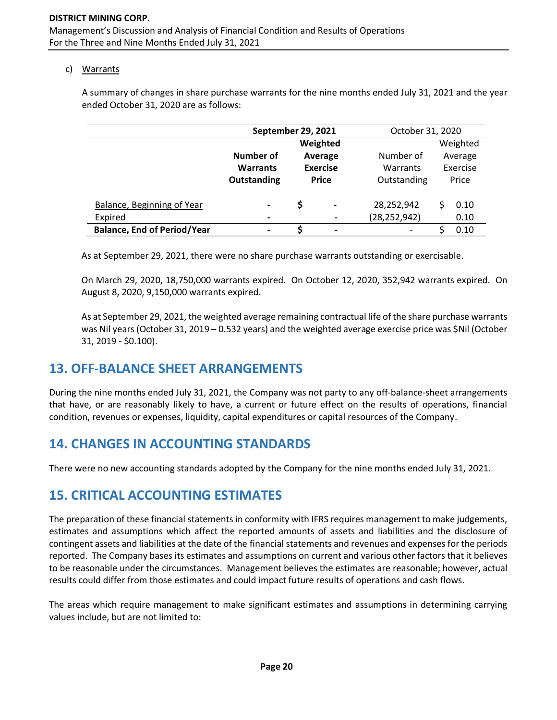#### c) Warrants

A summary of changes in share purchase warrants for the nine months ended July 31, 2021 and the year ended October 31, 2020 are as follows:

|                                    | <b>September 29, 2021</b> |                            |                          | October 31, 2020 |          |          |
|------------------------------------|---------------------------|----------------------------|--------------------------|------------------|----------|----------|
|                                    | Weighted                  |                            |                          |                  |          | Weighted |
|                                    | Number of                 | Average<br><b>Exercise</b> |                          | Number of        |          | Average  |
|                                    | <b>Warrants</b>           |                            |                          | Warrants         | Exercise |          |
|                                    | <b>Outstanding</b>        | <b>Price</b>               |                          | Outstanding      | Price    |          |
|                                    |                           |                            |                          |                  |          |          |
| Balance, Beginning of Year         | $\blacksquare$            | \$                         | $\blacksquare$           | 28,252,942       |          | 0.10     |
| Expired                            | $\overline{\phantom{a}}$  |                            | $\overline{\phantom{a}}$ | (28, 252, 942)   |          | 0.10     |
| <b>Balance, End of Period/Year</b> | $\blacksquare$            | S                          | $\overline{\phantom{a}}$ |                  |          | 0.10     |

As at September 29, 2021, there were no share purchase warrants outstanding or exercisable.

On March 29, 2020, 18,750,000 warrants expired. On October 12, 2020, 352,942 warrants expired. On August 8, 2020, 9,150,000 warrants expired.

As at September 29, 2021, the weighted average remaining contractual life of the share purchase warrants was Nil years (October 31, 2019 – 0.532 years) and the weighted average exercise price was \$Nil (October 31, 2019 - \$0.100).

# **13. OFF-BALANCE SHEET ARRANGEMENTS**

During the nine months ended July 31, 2021, the Company was not party to any off-balance-sheet arrangements that have, or are reasonably likely to have, a current or future effect on the results of operations, financial condition, revenues or expenses, liquidity, capital expenditures or capital resources of the Company.

## **14. CHANGES IN ACCOUNTING STANDARDS**

There were no new accounting standards adopted by the Company for the nine months ended July 31, 2021.

## **15. CRITICAL ACCOUNTING ESTIMATES**

The preparation of these financial statements in conformity with IFRS requires management to make judgements, estimates and assumptions which affect the reported amounts of assets and liabilities and the disclosure of contingent assets and liabilities at the date of the financial statements and revenues and expenses for the periods reported. The Company bases its estimates and assumptions on current and various other factors that it believes to be reasonable under the circumstances. Management believes the estimates are reasonable; however, actual results could differ from those estimates and could impact future results of operations and cash flows.

The areas which require management to make significant estimates and assumptions in determining carrying values include, but are not limited to: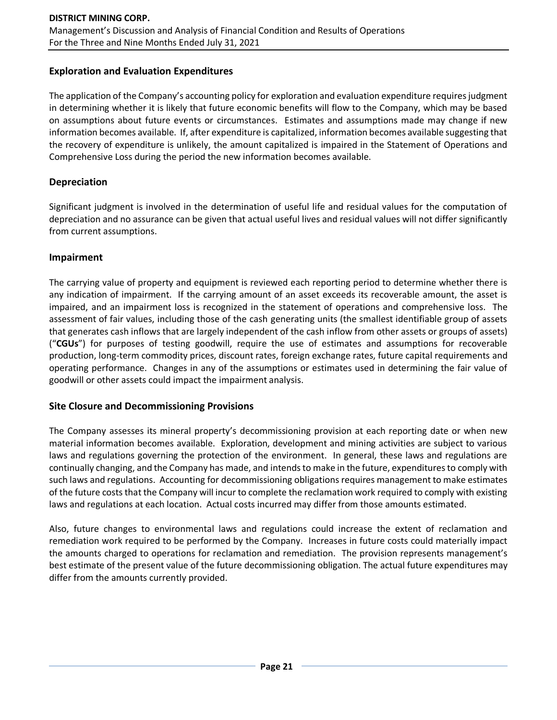#### **Exploration and Evaluation Expenditures**

The application of the Company's accounting policy for exploration and evaluation expenditure requires judgment in determining whether it is likely that future economic benefits will flow to the Company, which may be based on assumptions about future events or circumstances. Estimates and assumptions made may change if new information becomes available. If, after expenditure is capitalized, information becomes available suggesting that the recovery of expenditure is unlikely, the amount capitalized is impaired in the Statement of Operations and Comprehensive Loss during the period the new information becomes available.

#### **Depreciation**

Significant judgment is involved in the determination of useful life and residual values for the computation of depreciation and no assurance can be given that actual useful lives and residual values will not differ significantly from current assumptions.

#### **Impairment**

The carrying value of property and equipment is reviewed each reporting period to determine whether there is any indication of impairment. If the carrying amount of an asset exceeds its recoverable amount, the asset is impaired, and an impairment loss is recognized in the statement of operations and comprehensive loss. The assessment of fair values, including those of the cash generating units (the smallest identifiable group of assets that generates cash inflows that are largely independent of the cash inflow from other assets or groups of assets) ("**CGUs**") for purposes of testing goodwill, require the use of estimates and assumptions for recoverable production, long-term commodity prices, discount rates, foreign exchange rates, future capital requirements and operating performance. Changes in any of the assumptions or estimates used in determining the fair value of goodwill or other assets could impact the impairment analysis.

#### **Site Closure and Decommissioning Provisions**

The Company assesses its mineral property's decommissioning provision at each reporting date or when new material information becomes available. Exploration, development and mining activities are subject to various laws and regulations governing the protection of the environment. In general, these laws and regulations are continually changing, and the Company has made, and intends to make in the future, expenditures to comply with such laws and regulations. Accounting for decommissioning obligations requires management to make estimates of the future costs that the Company will incur to complete the reclamation work required to comply with existing laws and regulations at each location. Actual costs incurred may differ from those amounts estimated.

Also, future changes to environmental laws and regulations could increase the extent of reclamation and remediation work required to be performed by the Company. Increases in future costs could materially impact the amounts charged to operations for reclamation and remediation. The provision represents management's best estimate of the present value of the future decommissioning obligation. The actual future expenditures may differ from the amounts currently provided.